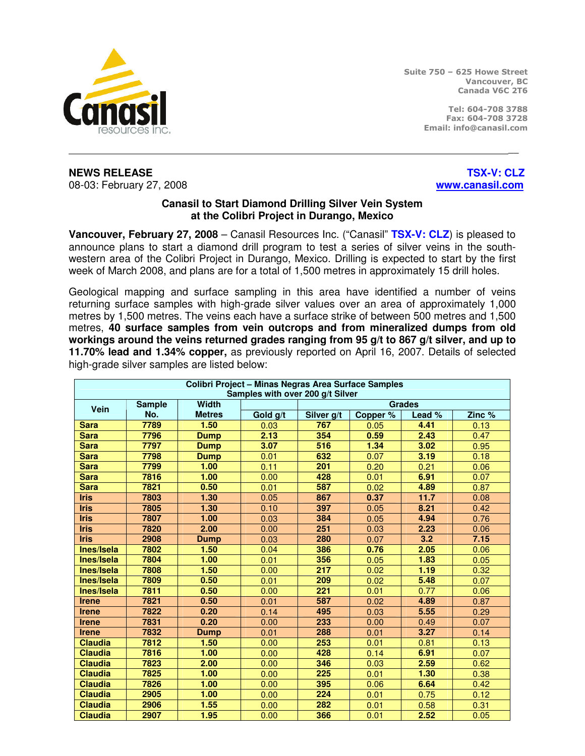

Suite 750 – 625 Howe Street Vancouver, BC Canada V6C 2T6

> Tel: 604-708 3788 Fax: 604-708 3728 Email: info@canasil.com

**NEWS RELEASE** THE RELOCAL CONSULTANCE IN THE RELOCAL CONSULTANCE IN THE RELOCAL CONSULTANCE IN THE RELOCAL CONSULTANCE IN THE RELOCAL CONSULTANCE IN THE RELOCAL CONSULTANCE IN THE RELOCAL CONSULTANCE IN THE RELOCAL CONSUL 08-03: February 27, 2008 **www.canasil.com**

## **Canasil to Start Diamond Drilling Silver Vein System at the Colibri Project in Durango, Mexico**

\_\_

**Vancouver, February 27, 2008** – Canasil Resources Inc. ("Canasil" **TSX-V: CLZ**) is pleased to announce plans to start a diamond drill program to test a series of silver veins in the southwestern area of the Colibri Project in Durango, Mexico. Drilling is expected to start by the first week of March 2008, and plans are for a total of 1,500 metres in approximately 15 drill holes.

Geological mapping and surface sampling in this area have identified a number of veins returning surface samples with high-grade silver values over an area of approximately 1,000 metres by 1,500 metres. The veins each have a surface strike of between 500 metres and 1,500 metres, **40 surface samples from vein outcrops and from mineralized dumps from old workings around the veins returned grades ranging from 95 g/t to 867 g/t silver, and up to 11.70% lead and 1.34% copper,** as previously reported on April 16, 2007. Details of selected high-grade silver samples are listed below:

| Colibri Project - Minas Negras Area Surface Samples<br>Samples with over 200 g/t Silver |               |               |               |            |                     |        |        |  |
|-----------------------------------------------------------------------------------------|---------------|---------------|---------------|------------|---------------------|--------|--------|--|
|                                                                                         | <b>Sample</b> | <b>Width</b>  | <b>Grades</b> |            |                     |        |        |  |
| <b>Vein</b>                                                                             | No.           | <b>Metres</b> | Gold g/t      | Silver g/t | Copper <sup>%</sup> | Lead % | Zinc % |  |
| <b>Sara</b>                                                                             | 7789          | 1.50          | 0.03          | 767        | 0.05                | 4.41   | 0.13   |  |
| <b>Sara</b>                                                                             | 7796          | <b>Dump</b>   | 2.13          | 354        | 0.59                | 2.43   | 0.47   |  |
| <b>Sara</b>                                                                             | 7797          | <b>Dump</b>   | 3.07          | 516        | 1.34                | 3.02   | 0.95   |  |
| <b>Sara</b>                                                                             | 7798          | <b>Dump</b>   | 0.01          | 632        | 0.07                | 3.19   | 0.18   |  |
| <b>Sara</b>                                                                             | 7799          | 1.00          | 0.11          | 201        | 0.20                | 0.21   | 0.06   |  |
| <b>Sara</b>                                                                             | 7816          | 1.00          | 0.00          | 428        | 0.01                | 6.91   | 0.07   |  |
| <b>Sara</b>                                                                             | 7821          | 0.50          | 0.01          | 587        | 0.02                | 4.89   | 0.87   |  |
| <b>Iris</b>                                                                             | 7803          | 1.30          | 0.05          | 867        | 0.37                | 11.7   | 0.08   |  |
| <b>Iris</b>                                                                             | 7805          | 1.30          | 0.10          | 397        | 0.05                | 8.21   | 0.42   |  |
| <b>Iris</b>                                                                             | 7807          | 1.00          | 0.03          | 384        | 0.05                | 4.94   | 0.76   |  |
| <b>Iris</b>                                                                             | 7820          | 2.00          | 0.00          | 251        | 0.03                | 2.23   | 0.06   |  |
| <b>Iris</b>                                                                             | 2908          | <b>Dump</b>   | 0.03          | 280        | 0.07                | 3.2    | 7.15   |  |
| Ines/Isela                                                                              | 7802          | 1.50          | 0.04          | 386        | 0.76                | 2.05   | 0.06   |  |
| Ines/Isela                                                                              | 7804          | 1.00          | 0.01          | 356        | 0.05                | 1.83   | 0.05   |  |
| Ines/Isela                                                                              | 7808          | 1.50          | 0.00          | 217        | 0.02                | 1.19   | 0.32   |  |
| Ines/Isela                                                                              | 7809          | 0.50          | 0.01          | 209        | 0.02                | 5.48   | 0.07   |  |
| Ines/Isela                                                                              | 7811          | 0.50          | 0.00          | 221        | 0.01                | 0.77   | 0.06   |  |
| <b>Irene</b>                                                                            | 7821          | 0.50          | 0.01          | 587        | 0.02                | 4.89   | 0.87   |  |
| <b>Irene</b>                                                                            | 7822          | 0.20          | 0.14          | 495        | 0.03                | 5.55   | 0.29   |  |
| <b>Irene</b>                                                                            | 7831          | 0.20          | 0.00          | 233        | 0.00                | 0.49   | 0.07   |  |
| <b>Irene</b>                                                                            | 7832          | <b>Dump</b>   | 0.01          | 288        | 0.01                | 3.27   | 0.14   |  |
| <b>Claudia</b>                                                                          | 7812          | 1.50          | 0.00          | 253        | 0.01                | 0.81   | 0.13   |  |
| <b>Claudia</b>                                                                          | 7816          | 1.00          | 0.00          | 428        | 0.14                | 6.91   | 0.07   |  |
| <b>Claudia</b>                                                                          | 7823          | 2.00          | 0.00          | 346        | 0.03                | 2.59   | 0.62   |  |
| <b>Claudia</b>                                                                          | 7825          | 1.00          | 0.00          | 225        | 0.01                | 1.30   | 0.38   |  |
| <b>Claudia</b>                                                                          | 7826          | 1.00          | 0.00          | 395        | 0.06                | 6.64   | 0.42   |  |
| <b>Claudia</b>                                                                          | 2905          | 1.00          | 0.00          | 224        | 0.01                | 0.75   | 0.12   |  |
| <b>Claudia</b>                                                                          | 2906          | 1.55          | 0.00          | 282        | 0.01                | 0.58   | 0.31   |  |
| <b>Claudia</b>                                                                          | 2907          | 1.95          | 0.00          | 366        | 0.01                | 2.52   | 0.05   |  |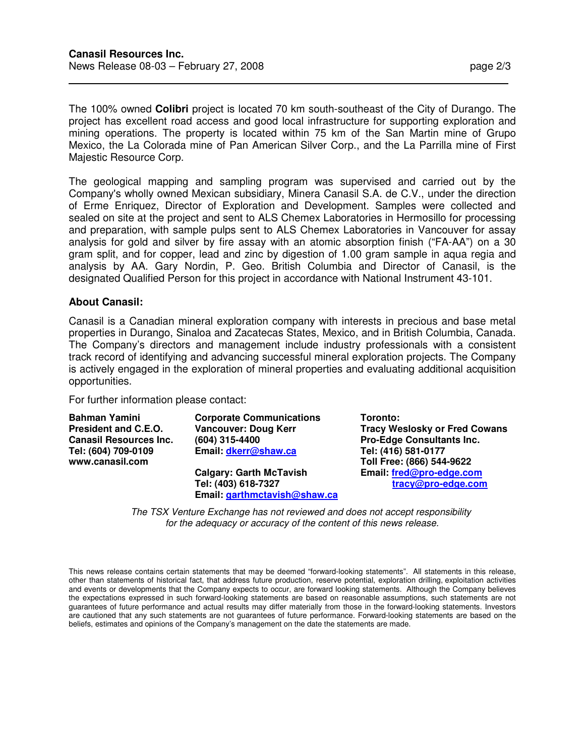The 100% owned **Colibri** project is located 70 km south-southeast of the City of Durango. The project has excellent road access and good local infrastructure for supporting exploration and mining operations. The property is located within 75 km of the San Martin mine of Grupo Mexico, the La Colorada mine of Pan American Silver Corp., and the La Parrilla mine of First Majestic Resource Corp.

The geological mapping and sampling program was supervised and carried out by the Company's wholly owned Mexican subsidiary, Minera Canasil S.A. de C.V., under the direction of Erme Enriquez, Director of Exploration and Development. Samples were collected and sealed on site at the project and sent to ALS Chemex Laboratories in Hermosillo for processing and preparation, with sample pulps sent to ALS Chemex Laboratories in Vancouver for assay analysis for gold and silver by fire assay with an atomic absorption finish ("FA-AA") on a 30 gram split, and for copper, lead and zinc by digestion of 1.00 gram sample in aqua regia and analysis by AA. Gary Nordin, P. Geo. British Columbia and Director of Canasil, is the designated Qualified Person for this project in accordance with National Instrument 43-101.

## **About Canasil:**

 $\overline{a}$ 

Canasil is a Canadian mineral exploration company with interests in precious and base metal properties in Durango, Sinaloa and Zacatecas States, Mexico, and in British Columbia, Canada. The Company's directors and management include industry professionals with a consistent track record of identifying and advancing successful mineral exploration projects. The Company is actively engaged in the exploration of mineral properties and evaluating additional acquisition opportunities.

For further information please contact:

| <b>Bahman Yamini</b>          | <b>Corporate Communications</b> | Toronto:                             |  |
|-------------------------------|---------------------------------|--------------------------------------|--|
| <b>President and C.E.O.</b>   | <b>Vancouver: Doug Kerr</b>     | <b>Tracy Weslosky or Fred Cowans</b> |  |
| <b>Canasil Resources Inc.</b> | (604) 315-4400                  | <b>Pro-Edge Consultants Inc.</b>     |  |
| Tel: (604) 709-0109           | Email: dkerr@shaw.ca            | Tel: (416) 581-0177                  |  |
| www.canasil.com               |                                 | Toll Free: (866) 544-9622            |  |
|                               | <b>Calgary: Garth McTavish</b>  | Email: fred@pro-edge.com             |  |
|                               | Tel: (403) 618-7327             | tracy@pro-edge.com                   |  |
|                               | Email: garthmctavish@shaw.ca    |                                      |  |

The TSX Venture Exchange has not reviewed and does not accept responsibility for the adequacy or accuracy of the content of this news release.

This news release contains certain statements that may be deemed "forward-looking statements". All statements in this release, other than statements of historical fact, that address future production, reserve potential, exploration drilling, exploitation activities and events or developments that the Company expects to occur, are forward looking statements. Although the Company believes the expectations expressed in such forward-looking statements are based on reasonable assumptions, such statements are not guarantees of future performance and actual results may differ materially from those in the forward-looking statements. Investors are cautioned that any such statements are not guarantees of future performance. Forward-looking statements are based on the beliefs, estimates and opinions of the Company's management on the date the statements are made.